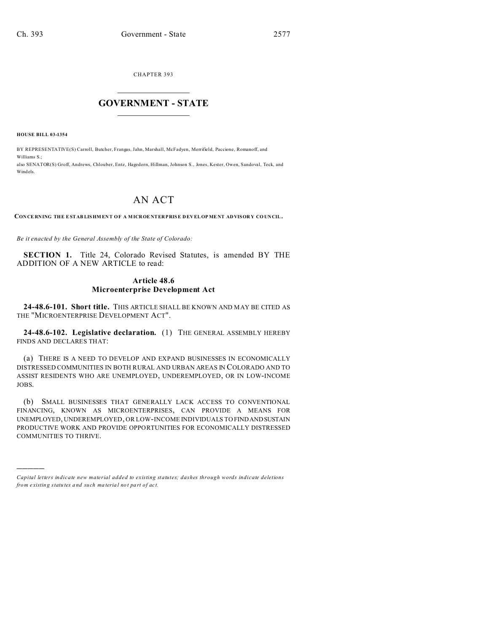CHAPTER 393  $\overline{\phantom{a}}$  , where  $\overline{\phantom{a}}$ 

## **GOVERNMENT - STATE**  $\_$   $\_$   $\_$   $\_$   $\_$   $\_$   $\_$   $\_$   $\_$

**HOUSE BILL 03-1354**

)))))

BY REPRESENTATIVE(S) Carroll, Butcher, Frangas, Jahn, Marshall, McFadyen, Merrifield, Paccione, Romanoff, and Williams S<sup>.</sup> also SENATOR(S) Groff, Andrews, Chlouber, Entz, Hagedorn, Hillman, Johnson S., Jones, Kester, Owen, Sandoval, Teck, and Windels.

## AN ACT

**CON CE RNING THE ESTAB LISHM EN T OF A MICROE NTER PRISE D EV EL OP ME NT ADVISOR Y CO UNCIL.**

*Be it enacted by the General Assembly of the State of Colorado:*

**SECTION 1.** Title 24, Colorado Revised Statutes, is amended BY THE ADDITION OF A NEW ARTICLE to read:

## **Article 48.6 Microenterprise Development Act**

**24-48.6-101. Short title.** THIS ARTICLE SHALL BE KNOWN AND MAY BE CITED AS THE "MICROENTERPRISE DEVELOPMENT ACT".

**24-48.6-102. Legislative declaration.** (1) THE GENERAL ASSEMBLY HEREBY FINDS AND DECLARES THAT:

(a) THERE IS A NEED TO DEVELOP AND EXPAND BUSINESSES IN ECONOMICALLY DISTRESSED COMMUNITIES IN BOTH RURAL AND URBAN AREAS IN COLORADO AND TO ASSIST RESIDENTS WHO ARE UNEMPLOYED, UNDEREMPLOYED, OR IN LOW-INCOME JOBS.

(b) SMALL BUSINESSES THAT GENERALLY LACK ACCESS TO CONVENTIONAL FINANCING, KNOWN AS MICROENTERPRISES, CAN PROVIDE A MEANS FOR UNEMPLOYED, UNDEREMPLOYED, OR LOW-INCOME INDIVIDUALS TO FINDANDSUSTAIN PRODUCTIVE WORK AND PROVIDE OPPORTUNITIES FOR ECONOMICALLY DISTRESSED COMMUNITIES TO THRIVE.

*Capital letters indicate new material added to existing statutes; dashes through words indicate deletions from e xistin g statu tes a nd such ma teria l no t pa rt of ac t.*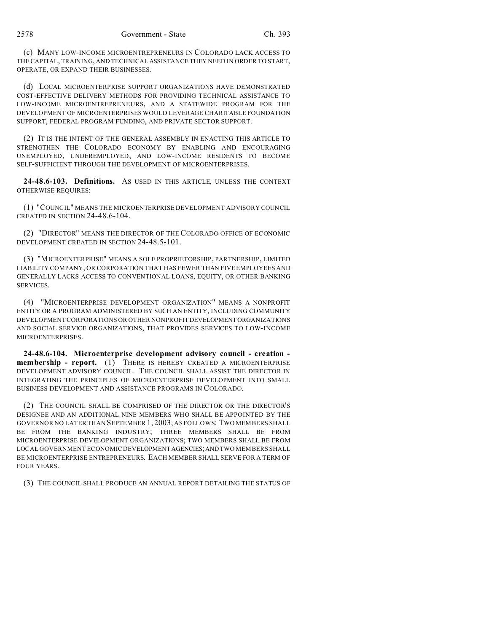(c) MANY LOW-INCOME MICROENTREPRENEURS IN COLORADO LACK ACCESS TO THE CAPITAL, TRAINING, AND TECHNICAL ASSISTANCE THEY NEED IN ORDER TO START, OPERATE, OR EXPAND THEIR BUSINESSES.

(d) LOCAL MICROENTERPRISE SUPPORT ORGANIZATIONS HAVE DEMONSTRATED COST-EFFECTIVE DELIVERY METHODS FOR PROVIDING TECHNICAL ASSISTANCE TO LOW-INCOME MICROENTREPRENEURS, AND A STATEWIDE PROGRAM FOR THE DEVELOPMENT OF MICROENTERPRISES WOULD LEVERAGE CHARITABLE FOUNDATION SUPPORT, FEDERAL PROGRAM FUNDING, AND PRIVATE SECTOR SUPPORT.

(2) IT IS THE INTENT OF THE GENERAL ASSEMBLY IN ENACTING THIS ARTICLE TO STRENGTHEN THE COLORADO ECONOMY BY ENABLING AND ENCOURAGING UNEMPLOYED, UNDEREMPLOYED, AND LOW-INCOME RESIDENTS TO BECOME SELF-SUFFICIENT THROUGH THE DEVELOPMENT OF MICROENTERPRISES.

**24-48.6-103. Definitions.** AS USED IN THIS ARTICLE, UNLESS THE CONTEXT OTHERWISE REQUIRES:

(1) "COUNCIL" MEANS THE MICROENTERPRISE DEVELOPMENT ADVISORY COUNCIL CREATED IN SECTION 24-48.6-104.

(2) "DIRECTOR" MEANS THE DIRECTOR OF THE COLORADO OFFICE OF ECONOMIC DEVELOPMENT CREATED IN SECTION 24-48.5-101.

(3) "MICROENTERPRISE" MEANS A SOLE PROPRIETORSHIP, PARTNERSHIP, LIMITED LIABILITY COMPANY, OR CORPORATION THAT HAS FEWER THAN FIVE EMPLOYEES AND GENERALLY LACKS ACCESS TO CONVENTIONAL LOANS, EQUITY, OR OTHER BANKING SERVICES.

(4) "MICROENTERPRISE DEVELOPMENT ORGANIZATION" MEANS A NONPROFIT ENTITY OR A PROGRAM ADMINISTERED BY SUCH AN ENTITY, INCLUDING COMMUNITY DEVELOPMENT CORPORATIONS OR OTHER NONPROFIT DEVELOPMENTORGANIZATIONS AND SOCIAL SERVICE ORGANIZATIONS, THAT PROVIDES SERVICES TO LOW-INCOME MICROENTERPRISES.

**24-48.6-104. Microenterprise development advisory council - creation membership - report.** (1) THERE IS HEREBY CREATED A MICROENTERPRISE DEVELOPMENT ADVISORY COUNCIL. THE COUNCIL SHALL ASSIST THE DIRECTOR IN INTEGRATING THE PRINCIPLES OF MICROENTERPRISE DEVELOPMENT INTO SMALL BUSINESS DEVELOPMENT AND ASSISTANCE PROGRAMS IN COLORADO.

(2) THE COUNCIL SHALL BE COMPRISED OF THE DIRECTOR OR THE DIRECTOR'S DESIGNEE AND AN ADDITIONAL NINE MEMBERS WHO SHALL BE APPOINTED BY THE GOVERNOR NO LATER THAN SEPTEMBER 1, 2003, AS FOLLOWS: TWO MEMBERS SHALL BE FROM THE BANKING INDUSTRY; THREE MEMBERS SHALL BE FROM MICROENTERPRISE DEVELOPMENT ORGANIZATIONS; TWO MEMBERS SHALL BE FROM LOCAL GOVERNMENT ECONOMIC DEVELOPMENTAGENCIES;AND TWO MEMBERS SHALL BE MICROENTERPRISE ENTREPRENEURS. EACH MEMBER SHALL SERVE FOR A TERM OF FOUR YEARS.

(3) THE COUNCIL SHALL PRODUCE AN ANNUAL REPORT DETAILING THE STATUS OF